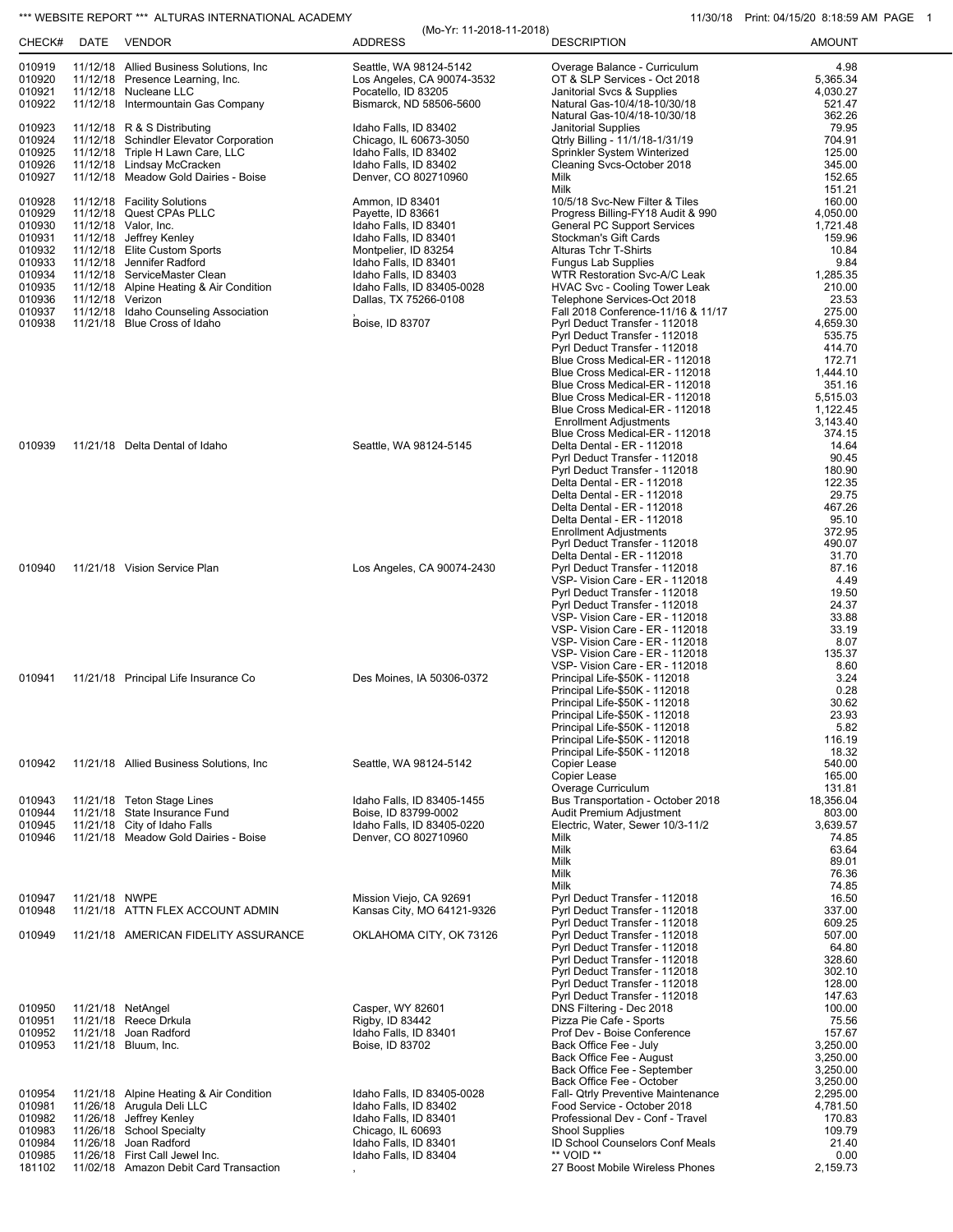## \*\*\* WEBSITE REPORT \*\*\* ALTURAS INTERNATIONAL ACADEMY 11/30/18 Print: 04/15/20 8:18:59 AM PAGE 1

(Mo-Yr: 11-2018-11-2018)

| CHECK#                                                                                                     | DATE             | <b>VENDOR</b>                                                                                                                                                                                                                                                                                                               | $(1010 - 11.112010 - 112010)$<br><b>ADDRESS</b>                                                                                                                                                                                            | <b>DESCRIPTION</b>                                                                                                                                                                                                                                                                                                                                                                                                                                                                                     | <b>AMOUNT</b>                                                                                                                                            |
|------------------------------------------------------------------------------------------------------------|------------------|-----------------------------------------------------------------------------------------------------------------------------------------------------------------------------------------------------------------------------------------------------------------------------------------------------------------------------|--------------------------------------------------------------------------------------------------------------------------------------------------------------------------------------------------------------------------------------------|--------------------------------------------------------------------------------------------------------------------------------------------------------------------------------------------------------------------------------------------------------------------------------------------------------------------------------------------------------------------------------------------------------------------------------------------------------------------------------------------------------|----------------------------------------------------------------------------------------------------------------------------------------------------------|
| 010919<br>010920<br>010921<br>010922                                                                       |                  | 11/12/18 Allied Business Solutions, Inc.<br>11/12/18 Presence Learning, Inc.<br>11/12/18 Nucleane LLC<br>11/12/18 Intermountain Gas Company                                                                                                                                                                                 | Seattle, WA 98124-5142<br>Los Angeles, CA 90074-3532<br>Pocatello, ID 83205<br>Bismarck, ND 58506-5600                                                                                                                                     | Overage Balance - Curriculum<br>OT & SLP Services - Oct 2018<br>Janitorial Svcs & Supplies<br>Natural Gas-10/4/18-10/30/18                                                                                                                                                                                                                                                                                                                                                                             | 4.98<br>5.365.34<br>4,030.27<br>521.47<br>362.26                                                                                                         |
| 010923<br>010924<br>010925<br>010926<br>010927                                                             |                  | 11/12/18 R & S Distributing<br>11/12/18 Schindler Elevator Corporation<br>11/12/18 Triple H Lawn Care, LLC<br>11/12/18 Lindsay McCracken<br>11/12/18 Meadow Gold Dairies - Boise                                                                                                                                            | Idaho Falls, ID 83402<br>Chicago, IL 60673-3050<br>Idaho Falls, ID 83402<br>Idaho Falls, ID 83402<br>Denver, CO 802710960                                                                                                                  | Natural Gas-10/4/18-10/30/18<br>Janitorial Supplies<br>Qtrly Billing - 11/1/18-1/31/19<br>Sprinkler System Winterized<br>Cleaning Svcs-October 2018<br>Milk<br>Milk                                                                                                                                                                                                                                                                                                                                    | 79.95<br>704.91<br>125.00<br>345.00<br>152.65<br>151.21                                                                                                  |
| 010928<br>010929<br>010930<br>010931<br>010932<br>010933<br>010934<br>010935<br>010936<br>010937<br>010938 | 11/12/18 Verizon | 11/12/18 Facility Solutions<br>11/12/18 Quest CPAs PLLC<br>11/12/18 Valor, Inc.<br>11/12/18 Jeffrey Kenley<br>11/12/18 Elite Custom Sports<br>11/12/18 Jennifer Radford<br>11/12/18 ServiceMaster Clean<br>11/12/18 Alpine Heating & Air Condition<br>11/12/18 Idaho Counseling Association<br>11/21/18 Blue Cross of Idaho | Ammon, ID 83401<br>Payette, ID 83661<br>Idaho Falls, ID 83401<br>Idaho Falls, ID 83401<br>Montpelier, ID 83254<br>Idaho Falls, ID 83401<br>Idaho Falls, ID 83403<br>Idaho Falls, ID 83405-0028<br>Dallas, TX 75266-0108<br>Boise, ID 83707 | 10/5/18 Svc-New Filter & Tiles<br>Progress Billing-FY18 Audit & 990<br><b>General PC Support Services</b><br>Stockman's Gift Cards<br>Alturas Tchr T-Shirts<br><b>Fungus Lab Supplies</b><br>WTR Restoration Svc-A/C Leak<br>HVAC Svc - Cooling Tower Leak<br>Telephone Services-Oct 2018<br>Fall 2018 Conference-11/16 & 11/17<br>Pyrl Deduct Transfer - 112018<br>Pyrl Deduct Transfer - 112018<br>Pyrl Deduct Transfer - 112018<br>Blue Cross Medical-ER - 112018<br>Blue Cross Medical-ER - 112018 | 160.00<br>4,050.00<br>1,721.48<br>159.96<br>10.84<br>9.84<br>1,285.35<br>210.00<br>23.53<br>275.00<br>4,659.30<br>535.75<br>414.70<br>172.71<br>1,444.10 |
| 010939                                                                                                     |                  | 11/21/18 Delta Dental of Idaho                                                                                                                                                                                                                                                                                              | Seattle, WA 98124-5145                                                                                                                                                                                                                     | Blue Cross Medical-ER - 112018<br>Blue Cross Medical-ER - 112018<br>Blue Cross Medical-ER - 112018<br><b>Enrollment Adjustments</b><br>Blue Cross Medical-ER - 112018<br>Delta Dental - ER - 112018<br>Pyrl Deduct Transfer - 112018<br>Pyrl Deduct Transfer - 112018<br>Delta Dental - ER - 112018<br>Delta Dental - ER - 112018<br>Delta Dental - ER - 112018<br>Delta Dental - ER - 112018<br><b>Enrollment Adjustments</b>                                                                         | 351.16<br>5.515.03<br>1,122.45<br>3,143.40<br>374.15<br>14.64<br>90.45<br>180.90<br>122.35<br>29.75<br>467.26<br>95.10<br>372.95                         |
| 010940                                                                                                     |                  | 11/21/18 Vision Service Plan                                                                                                                                                                                                                                                                                                | Los Angeles, CA 90074-2430                                                                                                                                                                                                                 | Pyrl Deduct Transfer - 112018<br>Delta Dental - ER - 112018<br>Pyrl Deduct Transfer - 112018<br>VSP- Vision Care - ER - 112018<br>Pyrl Deduct Transfer - 112018<br>Pyrl Deduct Transfer - 112018<br>VSP- Vision Care - ER - 112018<br>VSP- Vision Care - ER - 112018<br>VSP- Vision Care - ER - 112018                                                                                                                                                                                                 | 490.07<br>31.70<br>87.16<br>4.49<br>19.50<br>24.37<br>33.88<br>33.19<br>8.07                                                                             |
| 010941                                                                                                     |                  | 11/21/18 Principal Life Insurance Co                                                                                                                                                                                                                                                                                        | Des Moines, IA 50306-0372                                                                                                                                                                                                                  | VSP- Vision Care - ER - 112018<br>VSP- Vision Care - ER - 112018<br>Principal Life-\$50K - 112018<br>Principal Life-\$50K - 112018<br>Principal Life-\$50K - 112018<br>Principal Life-\$50K - 112018<br>Principal Life-\$50K - 112018<br>Principal Life-\$50K - 112018                                                                                                                                                                                                                                 | 135.37<br>8.60<br>3.24<br>0.28<br>30.62<br>23.93<br>5.82<br>116.19                                                                                       |
| 010942                                                                                                     |                  | 11/21/18 Allied Business Solutions, Inc                                                                                                                                                                                                                                                                                     | Seattle, WA 98124-5142                                                                                                                                                                                                                     | Principal Life-\$50K - 112018<br>Copier Lease<br>Copier Lease<br>Overage Curriculum                                                                                                                                                                                                                                                                                                                                                                                                                    | 18.32<br>540.00<br>165.00<br>131.81                                                                                                                      |
| 010943<br>010944<br>010945<br>010946                                                                       | 11/21/18         | 11/21/18 Teton Stage Lines<br>State Insurance Fund<br>11/21/18 City of Idaho Falls<br>11/21/18 Meadow Gold Dairies - Boise                                                                                                                                                                                                  | Idaho Falls, ID 83405-1455<br>Boise, ID 83799-0002<br>Idaho Falls, ID 83405-0220<br>Denver, CO 802710960                                                                                                                                   | Bus Transportation - October 2018<br>Audit Premium Adjustment<br>Electric, Water, Sewer 10/3-11/2<br>Milk<br>Milk<br><b>Milk</b><br>Milk<br>Milk                                                                                                                                                                                                                                                                                                                                                       | 18,356.04<br>803.00<br>3,639.57<br>74.85<br>63.64<br>89.01<br>76.36<br>74.85                                                                             |
| 010947<br>010948                                                                                           | 11/21/18 NWPE    | 11/21/18 ATTN FLEX ACCOUNT ADMIN                                                                                                                                                                                                                                                                                            | Mission Viejo, CA 92691<br>Kansas City, MO 64121-9326                                                                                                                                                                                      | Pyrl Deduct Transfer - 112018<br>Pyrl Deduct Transfer - 112018                                                                                                                                                                                                                                                                                                                                                                                                                                         | 16.50<br>337.00                                                                                                                                          |
| 010949                                                                                                     |                  | 11/21/18 AMERICAN FIDELITY ASSURANCE                                                                                                                                                                                                                                                                                        | OKLAHOMA CITY, OK 73126                                                                                                                                                                                                                    | Pyrl Deduct Transfer - 112018<br>Pyrl Deduct Transfer - 112018<br>Pyrl Deduct Transfer - 112018<br>Pyrl Deduct Transfer - 112018<br>Pyrl Deduct Transfer - 112018<br>Pyrl Deduct Transfer - 112018<br>Pyrl Deduct Transfer - 112018                                                                                                                                                                                                                                                                    | 609.25<br>507.00<br>64.80<br>328.60<br>302.10<br>128.00<br>147.63                                                                                        |
| 010950<br>010951<br>010952<br>010953                                                                       |                  | 11/21/18 NetAngel<br>11/21/18 Reece Drkula<br>11/21/18 Joan Radford<br>11/21/18 Bluum, Inc.                                                                                                                                                                                                                                 | Casper, WY 82601<br>Rigby, ID 83442<br>Idaho Falls, ID 83401<br>Boise, ID 83702                                                                                                                                                            | DNS Filtering - Dec 2018<br>Pizza Pie Cafe - Sports<br>Prof Dev - Boise Conference<br>Back Office Fee - July<br>Back Office Fee - August<br>Back Office Fee - September<br>Back Office Fee - October                                                                                                                                                                                                                                                                                                   | 100.00<br>75.56<br>157.67<br>3,250.00<br>3,250.00<br>3,250.00<br>3,250.00                                                                                |
| 010954<br>010981<br>010982<br>010983<br>010984<br>010985<br>181102                                         |                  | 11/21/18 Alpine Heating & Air Condition<br>11/26/18 Arugula Deli LLC<br>11/26/18 Jeffrey Kenley<br>11/26/18 School Specialty<br>11/26/18 Joan Radford<br>11/26/18 First Call Jewel Inc.<br>11/02/18 Amazon Debit Card Transaction                                                                                           | Idaho Falls, ID 83405-0028<br>Idaho Falls, ID 83402<br>Idaho Falls, ID 83401<br>Chicago, IL 60693<br>Idaho Falls, ID 83401<br>Idaho Falls, ID 83404                                                                                        | Fall- Qtrly Preventive Maintenance<br>Food Service - October 2018<br>Professional Dev - Conf - Travel<br><b>Shool Supplies</b><br>ID School Counselors Conf Meals<br>** VOID **<br>27 Boost Mobile Wireless Phones                                                                                                                                                                                                                                                                                     | 2,295.00<br>4,781.50<br>170.83<br>109.79<br>21.40<br>0.00<br>2,159.73                                                                                    |